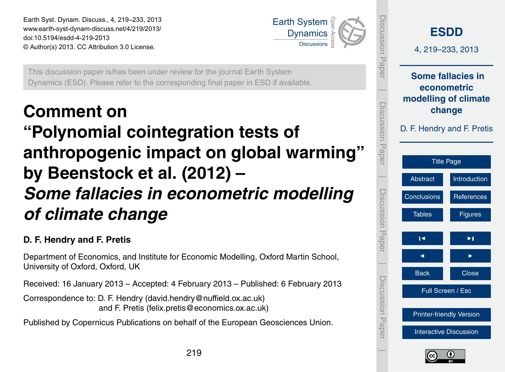<span id="page-0-0"></span>Earth Syst. Dynam. Discuss., 4, 219–233, 2013 www.earth-syst-dynam-discuss.net/4/219/2013/ doi:10.5194/esdd-4-219-2013 © Author(s) 2013. CC Attribution 3.0 License.



Open Access

Geoscientific This discussion paper is/has been under review for the journal Earth System r to the corres<sub>l</sub> ie<br>o Geoscientific Instrumentations<br>Instrumentations Dynamics (ESD). Please refer to the corresponding final paper in ESD if available.

# **Comment on**

#### Geoscientific Model Development Model Development **"Polynomial cointegration tests of** )<br>J Hydrology and by Beenstock et al. (2012) – Sciences and the second contract of the second contract of the second contract of the second contract of the s  $\overline{\mathbf{C}}$ anthropogenic impact on global warming" Open Access **Some fallacies in econometric modelling**

# *of climate change*

# **D. F. Hendry and F. Pretis**

University of Oxford, Oxford, UK E<br>.  $\overline{\phantom{0}}$ Department of Economics, and Institute for Economic Modelling, Oxford Martin School,<br>University of Oxford, Oxford, UK

Received: 16 January 2013 – Accepted: 4 February 2013 – Published: 6 February 2013

and F. Pretis (felix.pretis@economics.ox.ac.uk) nc<br>s<br>eh Correspondence to: D. F. Hendry (david.hendry@nuffield.ox.ac.uk)

o<br>L Published by Copernicus Publications on behalf of the European Geosciences Union.

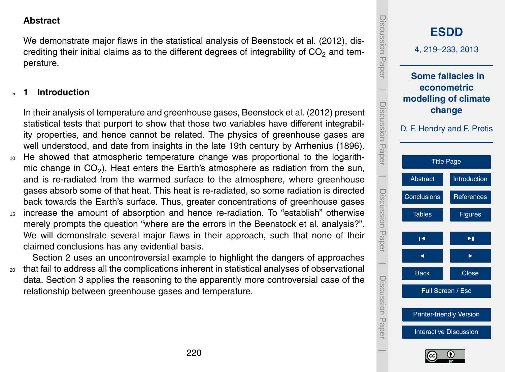<span id="page-1-0"></span>**Abstract**

We demonstrate major flaws in the statistical analysis of [Beenstock et al.](#page-7-0) [\(2012\)](#page-7-0), discrediting their initial claims as to the different degrees of integrability of  $CO<sub>2</sub>$  and temperature.

# <sup>5</sup> **1 Introduction**

In their analysis of temperature and greenhouse gases, [Beenstock et al.](#page-7-0) [\(2012\)](#page-7-0) present statistical tests that purport to show that those two variables have different integrability properties, and hence cannot be related. The physics of greenhouse gases are well understood, and date from insights in the late 19th century by [Arrhenius](#page-7-0) [\(1896\)](#page-7-0). <sup>10</sup> He showed that atmospheric temperature change was proportional to the logarithmic change in CO<sub>2</sub>). Heat enters the Earth's atmosphere as radiation from the sun, and is re-radiated from the warmed surface to the atmosphere, where greenhouse gases absorb some of that heat. This heat is re-radiated, so some radiation is directed back towards the Earth's surface. Thus, greater concentrations of greenhouse gases <sup>15</sup> increase the amount of absorption and hence re-radiation. To "establish" otherwise merely prompts the question "where are the errors in the Beenstock et al. analysis?". We will demonstrate several major flaws in their approach, such that none of their claimed conclusions has any evidential basis.

Section [2](#page-2-0) uses an uncontroversial example to highlight the dangers of approaches <sup>20</sup> that fail to address all the complications inherent in statistical analyses of observational data. Section [3](#page-5-0) applies the reasoning to the apparently more controversial case of the relationship between greenhouse gases and temperature.

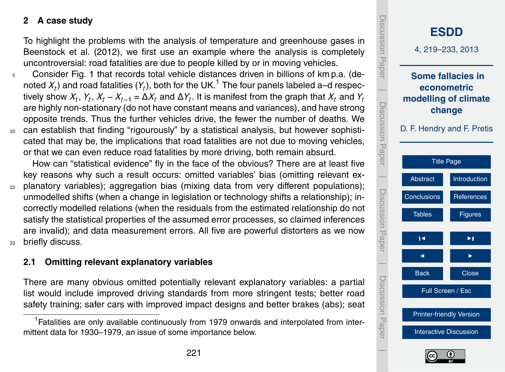#### **2 A case study**

To highlight the problems with the analysis of temperature and greenhouse gases in [Beenstock et al.](#page-7-0) [\(2012\)](#page-7-0), we first use an example where the analysis is completely uncontroversial: road fatalities are due to people killed by or in moving vehicles.

- <sup>5</sup> Consider Fig. 1 that records total vehicle distances driven in billions of km p.a. (denoted  $X_t$ ) and road fatalities ( $Y_t$ ), both for the UK.<sup>1</sup> The four panels labeled a–d respectively show  $X_t$ ,  $Y_t$ ,  $X_t$  –  $X_{t-1}$  =  $\Delta X_t$  and  $\Delta Y_t$ . It is manifest from the graph that  $X_t$  and  $Y_t$ are highly non-stationary (do not have constant means and variances), and have strong opposite trends. Thus the further vehicles drive, the fewer the number of deaths. We <sup>10</sup> can establish that finding "rigourously" by a statistical analysis, but however sophisti-
- cated that may be, the implications that road fatalities are not due to moving vehicles, or that we can even reduce road fatalities by more driving, both remain absurd.

How can "statistical evidence" fly in the face of the obvious? There are at least five key reasons why such a result occurs: omitted variables' bias (omitting relevant ex-

<sup>15</sup> planatory variables); aggregation bias (mixing data from very different populations); unmodelled shifts (when a change in legislation or technology shifts a relationship); incorrectly modelled relations (when the residuals from the estimated relationship do not satisfy the statistical properties of the assumed error processes, so claimed inferences are invalid); and data measurement errors. All five are powerful distorters as we now <sup>20</sup> briefly discuss.

**2.1 Omitting relevant explanatory variables**

There are many obvious omitted potentially relevant explanatory variables: a partial list would include improved driving standards from more stringent tests; better road safety training; safer cars with improved impact designs and better brakes (abs); seat

<span id="page-2-0"></span><sup>&</sup>lt;sup>1</sup> Fatalities are only available continuously from 1979 onwards and interpolated from intermittent data for 1930–1979, an issue of some importance below.



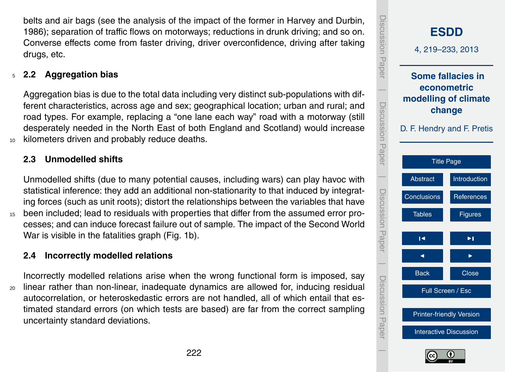<span id="page-3-0"></span>belts and air bags (see the analysis of the impact of the former in [Harvey and Durbin,](#page-7-0) [1986\)](#page-7-0); separation of traffic flows on motorways; reductions in drunk driving; and so on. Converse effects come from faster driving, driver overconfidence, driving after taking drugs, etc.

# <sup>5</sup> **2.2 Aggregation bias**

Aggregation bias is due to the total data including very distinct sub-populations with different characteristics, across age and sex; geographical location; urban and rural; and road types. For example, replacing a "one lane each way" road with a motorway (still desperately needed in the North East of both England and Scotland) would increase 10 kilometers driven and probably reduce deaths.

# **2.3 Unmodelled shifts**

Unmodelled shifts (due to many potential causes, including wars) can play havoc with statistical inference: they add an additional non-stationarity to that induced by integrating forces (such as unit roots); distort the relationships between the variables that have <sup>15</sup> been included; lead to residuals with properties that differ from the assumed error processes; and can induce forecast failure out of sample. The impact of the Second World War is visible in the fatalities graph (Fig. 1b).

# **2.4 Incorrectly modelled relations**

Incorrectly modelled relations arise when the wrong functional form is imposed, say <sup>20</sup> linear rather than non-linear, inadequate dynamics are allowed for, inducing residual autocorrelation, or heteroskedastic errors are not handled, all of which entail that estimated standard errors (on which tests are based) are far from the correct sampling uncertainty standard deviations.



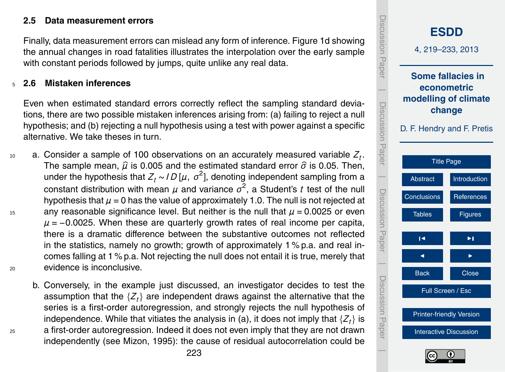### <span id="page-4-0"></span>**2.5 Data measurement errors**

Finally, data measurement errors can mislead any form of inference. Figure 1d showing the annual changes in road fatalities illustrates the interpolation over the early sample with constant periods followed by jumps, quite unlike any real data.

#### <sup>5</sup> **2.6 Mistaken inferences**

Even when estimated standard errors correctly reflect the sampling standard deviations, there are two possible mistaken inferences arising from: (a) failing to reject a null hypothesis; and (b) rejecting a null hypothesis using a test with power against a specific alternative. We take theses in turn.

- $a_0$  a. Consider a sample of 100 observations on an accurately measured variable  $Z_t$ . The sample mean,  $\hat{\mu}$  is 0.005 and the estimated standard error  $\hat{\sigma}$  is 0.05. Then, under the hypothesis that *Z<sup>t</sup>* ∼ *I D* [*µ*, *σ* 2 ], denoting independent sampling from a constant distribution with mean *µ* and variance *σ* 2 , a Student's *t* test of the null hypothesis that  $\mu$  = 0 has the value of approximately 1.0. The null is not rejected at 15 any reasonable significance level. But neither is the null that  $\mu$  = 0.0025 or even *µ* = −0.0025. When these are quarterly growth rates of real income per capita, there is a dramatic difference between the substantive outcomes not reflected in the statistics, namely no growth; growth of approximately 1 % p.a. and real incomes falling at 1 % p.a. Not rejecting the null does not entail it is true, merely that <sup>20</sup> evidence is inconclusive.
- b. Conversely, in the example just discussed, an investigator decides to test the assumption that the  $\{Z_t\}$  are independent draws against the alternative that the series is a first-order autoregression, and strongly rejects the null hypothesis of independence. While that vitiates the analysis in (a), it does not imply that  $\{Z_t\}$  is <sup>25</sup> a first-order autoregression. Indeed it does not even imply that they are not drawn independently (see [Mizon,](#page-8-0) [1995\)](#page-8-0): the cause of residual autocorrelation could be

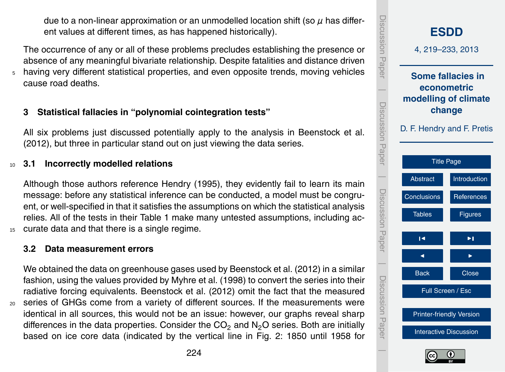<span id="page-5-0"></span>due to a non-linear approximation or an unmodelled location shift (so *µ* has different values at different times, as has happened historically).

The occurrence of any or all of these problems precludes establishing the presence or absence of any meaningful bivariate relationship. Despite fatalities and distance driven <sup>5</sup> having very different statistical properties, and even opposite trends, moving vehicles cause road deaths.

# **3 Statistical fallacies in "polynomial cointegration tests"**

All six problems just discussed potentially apply to the analysis in [Beenstock et al.](#page-7-0) [\(2012\)](#page-7-0), but three in particular stand out on just viewing the data series.

# <sup>10</sup> **3.1 Incorrectly modelled relations**

Although those authors reference [Hendry](#page-7-0) [\(1995\)](#page-7-0), they evidently fail to learn its main message: before any statistical inference can be conducted, a model must be congruent, or well-specified in that it satisfies the assumptions on which the statistical analysis relies. All of the tests in their Table 1 make many untested assumptions, including ac-15 curate data and that there is a single regime.

# **3.2 Data measurement errors**

We obtained the data on greenhouse gases used by [Beenstock et al.](#page-7-0) [\(2012\)](#page-7-0) in a similar fashion, using the values provided by [Myhre et al.](#page-8-0) [\(1998\)](#page-8-0) to convert the series into their radiative forcing equivalents. [Beenstock et al.](#page-7-0) [\(2012\)](#page-7-0) omit the fact that the measured <sup>20</sup> series of GHGs come from a variety of different sources. If the measurements were identical in all sources, this would not be an issue: however, our graphs reveal sharp

differences in the data properties. Consider the  $CO<sub>2</sub>$  and  $N<sub>2</sub>O$  series. Both are initially based on ice core data (indicated by the vertical line in Fig. [2:](#page-12-0) 1850 until 1958 for



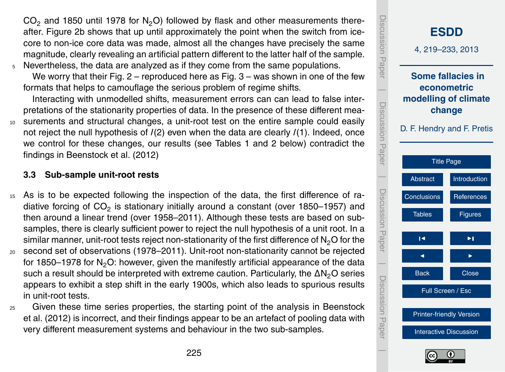<span id="page-6-0"></span> $CO<sub>2</sub>$  and 1850 until 1978 for N<sub>2</sub>O) followed by flask and other measurements thereafter. Figure 2b shows that up until approximately the point when the switch from icecore to non-ice core data was made, almost all the changes have precisely the same magnitude, clearly revealing an artificial pattern different to the latter half of the sample.

<sup>5</sup> Nevertheless, the data are analyzed as if they come from the same populations. We worry that their Fig.  $2$  – reproduced here as Fig.  $3$  – was shown in one of the few

formats that helps to camouflage the serious problem of regime shifts.

Interacting with unmodelled shifts, measurement errors can can lead to false interpretations of the stationarity properties of data. In the presence of these different mea-

<sup>10</sup> surements and structural changes, a unit-root test on the entire sample could easily not reject the null hypothesis of *I*(2) even when the data are clearly *I*(1). Indeed, once we control for these changes, our results (see Tables [1](#page-9-0) and [2](#page-10-0) below) contradict the findings in [Beenstock et al.](#page-7-0) [\(2012\)](#page-7-0)

# **3.3 Sub-sample unit-root rests**

- <sup>15</sup> As is to be expected following the inspection of the data, the first difference of radiative forcing of CO<sub>2</sub> is stationary initially around a constant (over 1850–1957) and then around a linear trend (over 1958–2011). Although these tests are based on subsamples, there is clearly sufficient power to reject the null hypothesis of a unit root. In a similar manner, unit-root tests reject non-stationarity of the first difference of  $N<sub>2</sub>O$  for the
- <sup>20</sup> second set of observations (1978–2011). Unit-root non-stationarity cannot be rejected for 1850–1978 for  $N<sub>2</sub>O$ : however, given the manifestly artificial appearance of the data such a result should be interpreted with extreme caution. Particularly, the  $\Delta N_2O$  series appears to exhibit a step shift in the early 1900s, which also leads to spurious results in unit-root tests.
- <sup>25</sup> Given these time series properties, the starting point of the analysis in [Beenstock](#page-7-0) [et al.](#page-7-0) [\(2012\)](#page-7-0) is incorrect, and their findings appear to be an artefact of pooling data with very different measurement systems and behaviour in the two sub-samples.



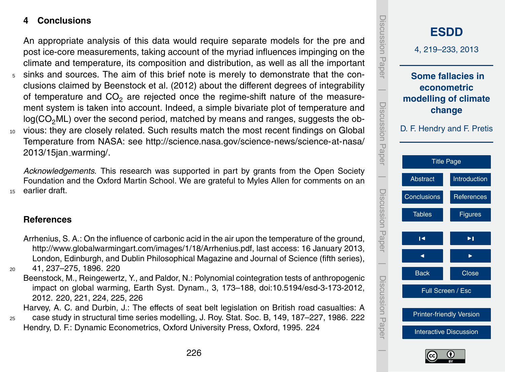# <span id="page-7-0"></span>**4 Conclusions**

An appropriate analysis of this data would require separate models for the pre and post ice-core measurements, taking account of the myriad influences impinging on the climate and temperature, its composition and distribution, as well as all the important

<sup>5</sup> sinks and sources. The aim of this brief note is merely to demonstrate that the conclusions claimed by Beenstock et al. (2012) about the different degrees of integrability of temperature and  $CO<sub>2</sub>$  are rejected once the regime-shift nature of the measurement system is taken into account. Indeed, a simple bivariate plot of temperature and  $log(CO<sub>2</sub>ML)$  over the second period, matched by means and ranges, suggests the obvious: they are closely related. Such results match the most recent findings on Global [T](http://science.nasa.gov/science-news/science-at-nasa/2013/15jan_warming/)emperature from NASA: see [http://science.nasa.gov/science-news/science-at-nasa/](http://science.nasa.gov/science-news/science-at-nasa/2013/15jan_warming/) [2013/15jan](http://science.nasa.gov/science-news/science-at-nasa/2013/15jan_warming/) warming/.

*Acknowledgements.* This research was supported in part by grants from the Open Society Foundation and the Oxford Martin School. We are grateful to Myles Allen for comments on an <sup>15</sup> earlier draft.

# **References**

Arrhenius, S. A.: On the influence of carbonic acid in the air upon the temperature of the ground, [http://www.globalwarmingart.com/images/1/18/Arrhenius.pdf,](http://www.globalwarmingart.com/images/1/18/Arrhenius.pdf) last access: 16 January 2013, London, Edinburgh, and Dublin Philosophical Magazine and Journal of Science (fifth series),

<sup>20</sup> 41, 237–275, 1896. [220](#page-1-0)

Beenstock, M., Reingewertz, Y., and Paldor, N.: Polynomial cointegration tests of anthropogenic impact on global warming, Earth Syst. Dynam., 3, 173–188, [doi:10.5194/esd-3-173-2012,](http://dx.doi.org/10.5194/esd-3-173-2012) 2012. [220,](#page-1-0) [221,](#page-2-0) [224,](#page-5-0) [225,](#page-6-0) 226

Harvey, A. C. and Durbin, J.: The effects of seat belt legislation on British road casualties: A <sup>25</sup> case study in structural time series modelling, J. Roy. Stat. Soc. B, 149, 187–227, 1986. [222](#page-3-0) Hendry, D. F.: Dynamic Econometrics, Oxford University Press, Oxford, 1995. [224](#page-5-0)



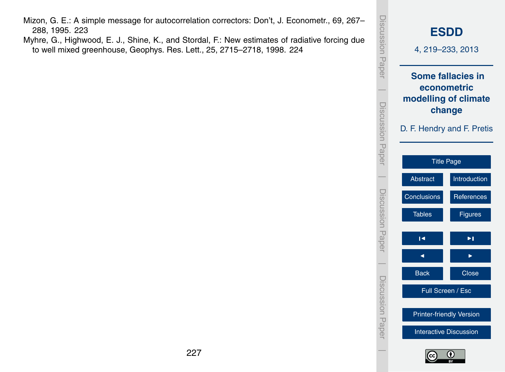- <span id="page-8-0"></span>Mizon, G. E.: A simple message for autocorrelation correctors: Don't, J. Econometr., 69, 267– 288, 1995. [223](#page-4-0)
- Myhre, G., Highwood, E. J., Shine, K., and Stordal, F.: New estimates of radiative forcing due to well mixed greenhouse, Geophys. Res. Lett., 25, 2715–2718, 1998. [224](#page-5-0)



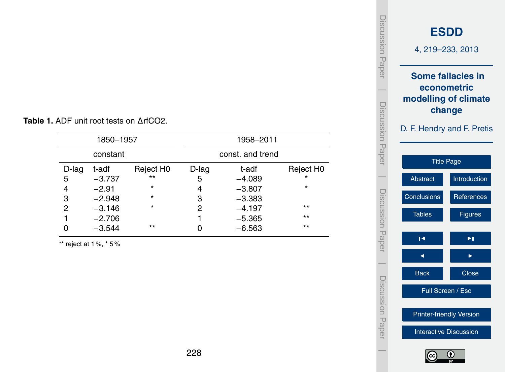| 1850-1957 |          |                       |       | 1958-2011        |                       |
|-----------|----------|-----------------------|-------|------------------|-----------------------|
| constant  |          |                       |       | const. and trend |                       |
| D-lag     | t-adf    | Reject H <sub>0</sub> | D-lag | t-adf            | Reject H <sub>0</sub> |
| 5         | $-3.737$ | $***$                 | 5     | $-4.089$         | $\star$               |
| 4         | $-2.91$  | *                     | 4     | $-3.807$         | $\star$               |
| 3         | $-2.948$ | *                     | 3     | $-3.383$         |                       |
| 2         | $-3.146$ | $\star$               | 2     | $-4.197$         | $***$                 |
|           | $-2.706$ |                       |       | $-5.365$         | $***$                 |
|           | $-3.544$ | $***$                 |       | $-6.563$         | $***$                 |

<span id="page-9-0"></span>**Table 1.** ADF unit root tests on ∆rfCO2.

\*\* reject at 1 %,  $*$  5 %



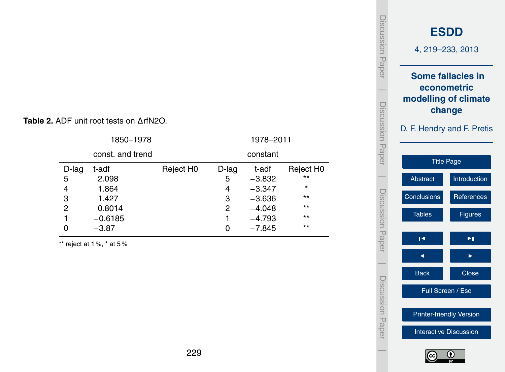| 1850-1978      |                  |                       |          | 1978–2011 |                       |  |
|----------------|------------------|-----------------------|----------|-----------|-----------------------|--|
|                | const. and trend |                       |          | constant  |                       |  |
| $D$ -lag       | t-adf            | Reject H <sub>0</sub> | $D$ -lag | t-adf     | Reject H <sub>0</sub> |  |
| 5              | 2.098            |                       | 5        | $-3.832$  | $***$                 |  |
| 4              | 1.864            |                       | 4        | $-3.347$  | $^\star$              |  |
| 3              | 1.427            |                       | 3        | $-3.636$  | $***$                 |  |
| $\overline{2}$ | 0.8014           |                       | 2        | $-4.048$  | $***$                 |  |
| 1              | $-0.6185$        |                       |          | $-4.793$  | $***$                 |  |
|                | $-3.87$          |                       | 0        | $-7.845$  | $***$                 |  |

<span id="page-10-0"></span>**Table 2.** ADF unit root tests on ∆rfN2O.

\*\* reject at 1 %,  $*$  at 5 %

| iscussion<br>Paper  |                               | <b>ESDD</b><br>4, 219-233, 2013                                                                         |  |  |  |  |  |
|---------------------|-------------------------------|---------------------------------------------------------------------------------------------------------|--|--|--|--|--|
| Discussion<br>Paper |                               | <b>Some fallacies in</b><br>econometric<br>modelling of climate<br>change<br>D. F. Hendry and F. Pretis |  |  |  |  |  |
|                     |                               | <b>Title Page</b>                                                                                       |  |  |  |  |  |
|                     | Abstract                      | Introduction                                                                                            |  |  |  |  |  |
|                     | Conclusions                   | References                                                                                              |  |  |  |  |  |
| Discussion Paper    | <b>Tables</b>                 | <b>Figures</b>                                                                                          |  |  |  |  |  |
|                     | Н                             | ▶∣                                                                                                      |  |  |  |  |  |
|                     |                               |                                                                                                         |  |  |  |  |  |
| Discussion Pape     | <b>Back</b>                   | <b>Close</b>                                                                                            |  |  |  |  |  |
|                     |                               | Full Screen / Esc                                                                                       |  |  |  |  |  |
|                     |                               | <b>Printer-friendly Version</b>                                                                         |  |  |  |  |  |
|                     | <b>Interactive Discussion</b> |                                                                                                         |  |  |  |  |  |

 $\overline{\phantom{a}}$ 

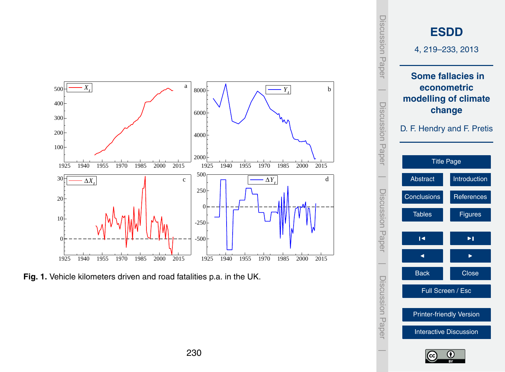<span id="page-11-0"></span>

**Fig. 1.** Vehicle kilometers driven and road fatalities p.a. in the UK.

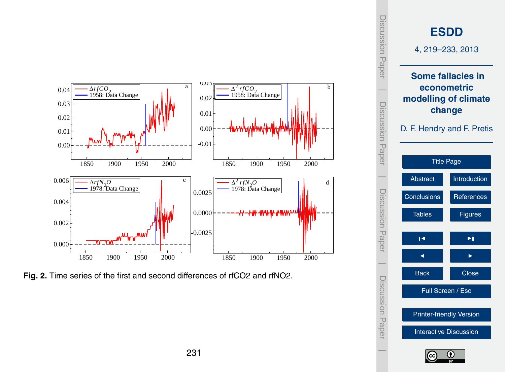<span id="page-12-0"></span>

Fig. 2. Time series of the first and second differences of rfCO2 and rfNO2.



Discussion Paper

 $\overline{\phantom{a}}$ 

Discussion Paper

 $\overline{\phantom{a}}$ 

Discussion Paper

 $\overline{\phantom{a}}$ 

Discussion Paper

 $\overline{\phantom{a}}$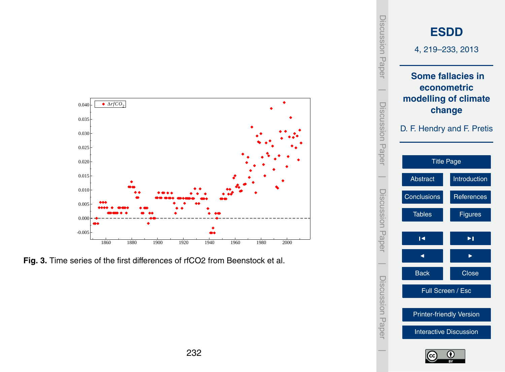<span id="page-13-0"></span>

Fig. 3. Time series of the first differences of rfCO2 from Beenstock et al.